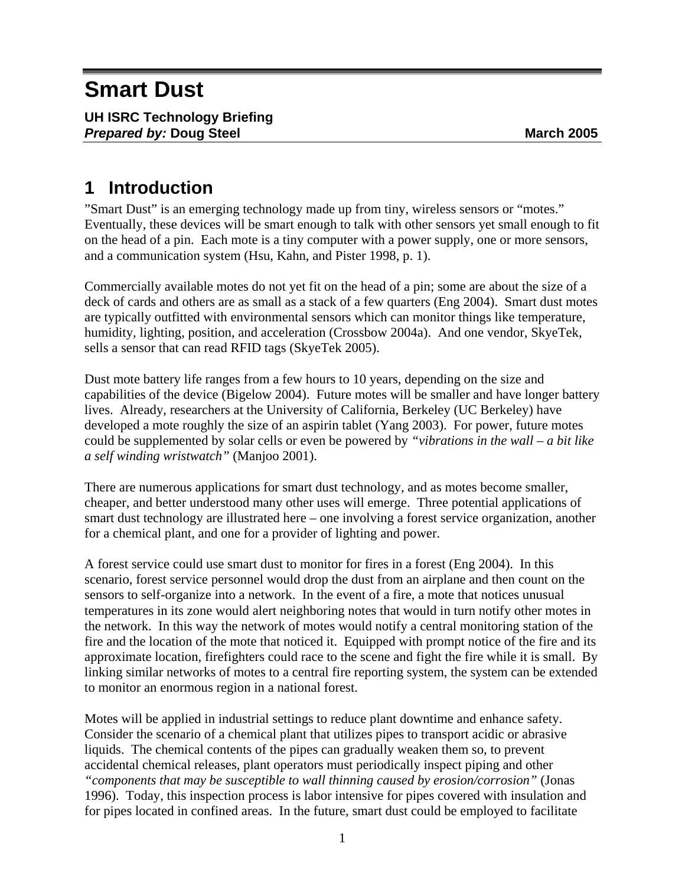# **Smart Dust**

# **1 Introduction**

"Smart Dust" is an emerging technology made up from tiny, wireless sensors or "motes." Eventually, these devices will be smart enough to talk with other sensors yet small enough to fit on the head of a pin. Each mote is a tiny computer with a power supply, one or more sensors, and a communication system (Hsu, Kahn, and Pister 1998, p. 1).

Commercially available motes do not yet fit on the head of a pin; some are about the size of a deck of cards and others are as small as a stack of a few quarters (Eng 2004). Smart dust motes are typically outfitted with environmental sensors which can monitor things like temperature, humidity, lighting, position, and acceleration (Crossbow 2004a). And one vendor, SkyeTek, sells a sensor that can read RFID tags (SkyeTek 2005).

Dust mote battery life ranges from a few hours to 10 years, depending on the size and capabilities of the device (Bigelow 2004). Future motes will be smaller and have longer battery lives. Already, researchers at the University of California, Berkeley (UC Berkeley) have developed a mote roughly the size of an aspirin tablet (Yang 2003). For power, future motes could be supplemented by solar cells or even be powered by *"vibrations in the wall – a bit like a self winding wristwatch"* (Manjoo 2001).

There are numerous applications for smart dust technology, and as motes become smaller, cheaper, and better understood many other uses will emerge. Three potential applications of smart dust technology are illustrated here – one involving a forest service organization, another for a chemical plant, and one for a provider of lighting and power.

A forest service could use smart dust to monitor for fires in a forest (Eng 2004). In this scenario, forest service personnel would drop the dust from an airplane and then count on the sensors to self-organize into a network. In the event of a fire, a mote that notices unusual temperatures in its zone would alert neighboring notes that would in turn notify other motes in the network. In this way the network of motes would notify a central monitoring station of the fire and the location of the mote that noticed it. Equipped with prompt notice of the fire and its approximate location, firefighters could race to the scene and fight the fire while it is small. By linking similar networks of motes to a central fire reporting system, the system can be extended to monitor an enormous region in a national forest.

Motes will be applied in industrial settings to reduce plant downtime and enhance safety. Consider the scenario of a chemical plant that utilizes pipes to transport acidic or abrasive liquids. The chemical contents of the pipes can gradually weaken them so, to prevent accidental chemical releases, plant operators must periodically inspect piping and other *"components that may be susceptible to wall thinning caused by erosion/corrosion"* (Jonas 1996). Today, this inspection process is labor intensive for pipes covered with insulation and for pipes located in confined areas. In the future, smart dust could be employed to facilitate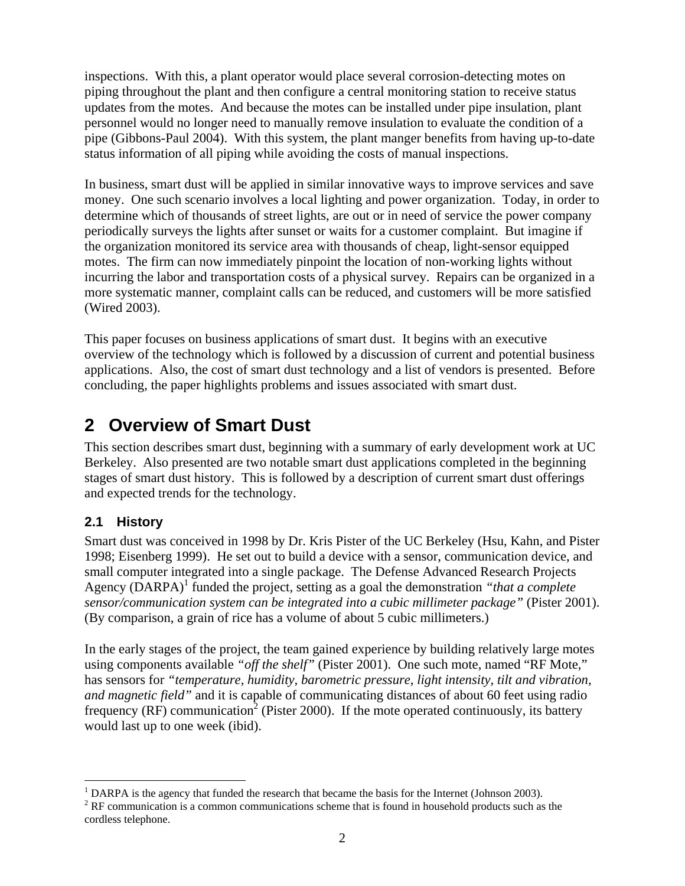inspections. With this, a plant operator would place several corrosion-detecting motes on piping throughout the plant and then configure a central monitoring station to receive status updates from the motes. And because the motes can be installed under pipe insulation, plant personnel would no longer need to manually remove insulation to evaluate the condition of a pipe (Gibbons-Paul 2004). With this system, the plant manger benefits from having up-to-date status information of all piping while avoiding the costs of manual inspections.

In business, smart dust will be applied in similar innovative ways to improve services and save money. One such scenario involves a local lighting and power organization. Today, in order to determine which of thousands of street lights, are out or in need of service the power company periodically surveys the lights after sunset or waits for a customer complaint. But imagine if the organization monitored its service area with thousands of cheap, light-sensor equipped motes. The firm can now immediately pinpoint the location of non-working lights without incurring the labor and transportation costs of a physical survey. Repairs can be organized in a more systematic manner, complaint calls can be reduced, and customers will be more satisfied (Wired 2003).

This paper focuses on business applications of smart dust. It begins with an executive overview of the technology which is followed by a discussion of current and potential business applications. Also, the cost of smart dust technology and a list of vendors is presented. Before concluding, the paper highlights problems and issues associated with smart dust.

### **2 Overview of Smart Dust**

This section describes smart dust, beginning with a summary of early development work at UC Berkeley. Also presented are two notable smart dust applications completed in the beginning stages of smart dust history. This is followed by a description of current smart dust offerings and expected trends for the technology.

#### **2.1 History**

Smart dust was conceived in 1998 by Dr. Kris Pister of the UC Berkeley (Hsu, Kahn, and Pister 1998; Eisenberg 1999). He set out to build a device with a sensor, communication device, and small computer integrated into a single package. The Defense Advanced Research Projects Agency (DARPA)<sup>1</sup> funded the project, setting as a goal the demonstration *"that a complete sensor/communication system can be integrated into a cubic millimeter package"* (Pister 2001). (By comparison, a grain of rice has a volume of about 5 cubic millimeters.)

In the early stages of the project, the team gained experience by building relatively large motes using components available *"off the shelf"* (Pister 2001). One such mote, named "RF Mote," has sensors for *"temperature, humidity, barometric pressure, light intensity, tilt and vibration, and magnetic field"* and it is capable of communicating distances of about 60 feet using radio frequency  $(RF)$  communication<sup>2</sup> (Pister 2000). If the mote operated continuously, its battery would last up to one week (ibid).

 $\overline{a}$ <sup>1</sup> DARPA is the agency that funded the research that became the basis for the Internet (Johnson 2003).<br><sup>2</sup> PE communication is a common communications scheme that is found in household products such as

 $2$  RF communication is a common communications scheme that is found in household products such as the cordless telephone.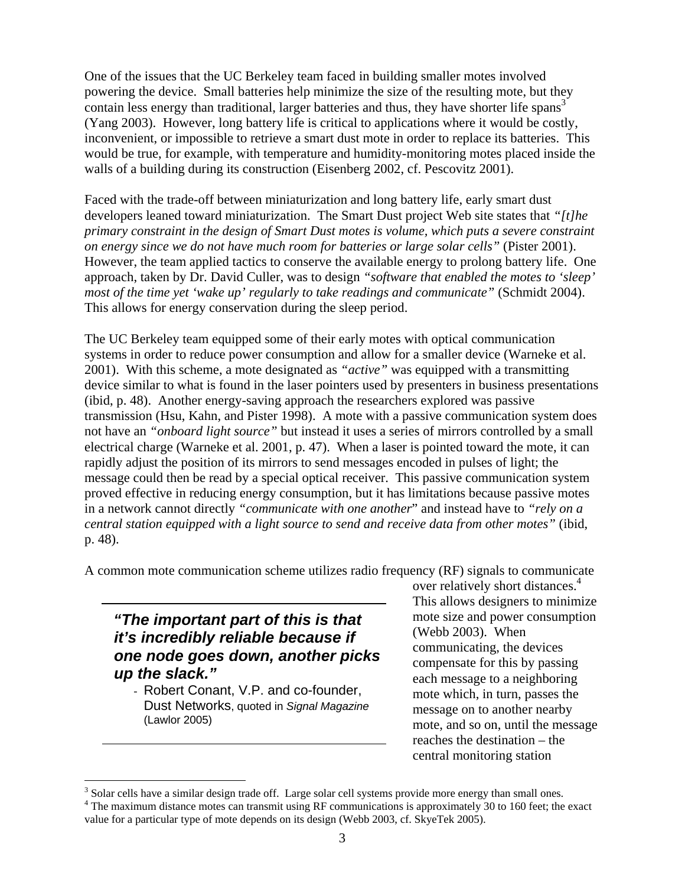One of the issues that the UC Berkeley team faced in building smaller motes involved powering the device. Small batteries help minimize the size of the resulting mote, but they contain less energy than traditional, larger batteries and thus, they have shorter life spans<sup>3</sup> (Yang 2003). However, long battery life is critical to applications where it would be costly, inconvenient, or impossible to retrieve a smart dust mote in order to replace its batteries. This would be true, for example, with temperature and humidity-monitoring motes placed inside the walls of a building during its construction (Eisenberg 2002, cf. Pescovitz 2001).

Faced with the trade-off between miniaturization and long battery life, early smart dust developers leaned toward miniaturization. The Smart Dust project Web site states that *"[t]he primary constraint in the design of Smart Dust motes is volume, which puts a severe constraint on energy since we do not have much room for batteries or large solar cells"* (Pister 2001). However, the team applied tactics to conserve the available energy to prolong battery life. One approach, taken by Dr. David Culler, was to design *"software that enabled the motes to 'sleep' most of the time yet 'wake up' regularly to take readings and communicate"* (Schmidt 2004). This allows for energy conservation during the sleep period.

The UC Berkeley team equipped some of their early motes with optical communication systems in order to reduce power consumption and allow for a smaller device (Warneke et al. 2001). With this scheme, a mote designated as *"active"* was equipped with a transmitting device similar to what is found in the laser pointers used by presenters in business presentations (ibid, p. 48). Another energy-saving approach the researchers explored was passive transmission (Hsu, Kahn, and Pister 1998). A mote with a passive communication system does not have an *"onboard light source"* but instead it uses a series of mirrors controlled by a small electrical charge (Warneke et al. 2001, p. 47). When a laser is pointed toward the mote, it can rapidly adjust the position of its mirrors to send messages encoded in pulses of light; the message could then be read by a special optical receiver. This passive communication system proved effective in reducing energy consumption, but it has limitations because passive motes in a network cannot directly *"communicate with one another*" and instead have to *"rely on a central station equipped with a light source to send and receive data from other motes"* (ibid, p. 48).

A common mote communication scheme utilizes radio frequency (RF) signals to communicate

#### *"The important part of this is that it's incredibly reliable because if one node goes down, another picks up the slack."*

- Robert Conant, V.P. and co-founder, Dust Networks, quoted in *Signal Magazine* (Lawlor 2005)

 $\overline{a}$ 

over relatively short distances.<sup>4</sup> This allows designers to minimize mote size and power consumption (Webb 2003). When communicating, the devices compensate for this by passing each message to a neighboring mote which, in turn, passes the message on to another nearby mote, and so on, until the message reaches the destination – the central monitoring station

<sup>&</sup>lt;sup>3</sup> Solar cells have a similar design trade off. Large solar cell systems provide more energy than small ones.<br><sup>4</sup> The maximum distance motes can transmit using BE communications is approximately 20 to 160 feet; the <sup>4</sup> The maximum distance motes can transmit using RF communications is approximately 30 to 160 feet; the exact value for a particular type of mote depends on its design (Webb 2003, cf. SkyeTek 2005).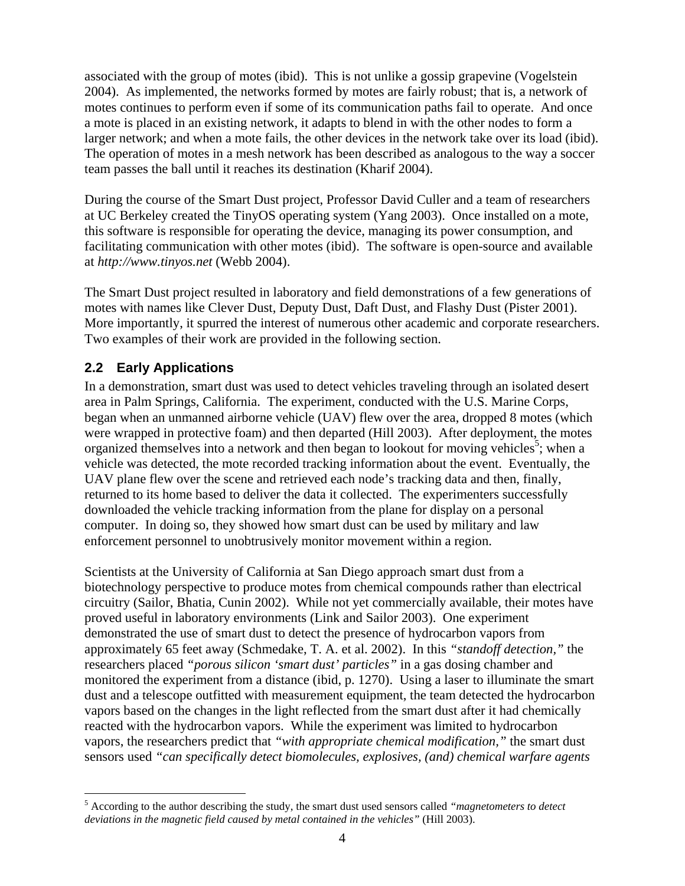associated with the group of motes (ibid). This is not unlike a gossip grapevine (Vogelstein 2004). As implemented, the networks formed by motes are fairly robust; that is, a network of motes continues to perform even if some of its communication paths fail to operate. And once a mote is placed in an existing network, it adapts to blend in with the other nodes to form a larger network; and when a mote fails, the other devices in the network take over its load (ibid). The operation of motes in a mesh network has been described as analogous to the way a soccer team passes the ball until it reaches its destination (Kharif 2004).

During the course of the Smart Dust project, Professor David Culler and a team of researchers at UC Berkeley created the TinyOS operating system (Yang 2003). Once installed on a mote, this software is responsible for operating the device, managing its power consumption, and facilitating communication with other motes (ibid). The software is open-source and available at *http://www.tinyos.net* (Webb 2004).

The Smart Dust project resulted in laboratory and field demonstrations of a few generations of motes with names like Clever Dust, Deputy Dust, Daft Dust, and Flashy Dust (Pister 2001). More importantly, it spurred the interest of numerous other academic and corporate researchers. Two examples of their work are provided in the following section.

#### **2.2 Early Applications**

 $\overline{a}$ 

In a demonstration, smart dust was used to detect vehicles traveling through an isolated desert area in Palm Springs, California. The experiment, conducted with the U.S. Marine Corps, began when an unmanned airborne vehicle (UAV) flew over the area, dropped 8 motes (which were wrapped in protective foam) and then departed (Hill 2003). After deployment, the motes organized themselves into a network and then began to lookout for moving vehicles<sup>5</sup>; when a vehicle was detected, the mote recorded tracking information about the event. Eventually, the UAV plane flew over the scene and retrieved each node's tracking data and then, finally, returned to its home based to deliver the data it collected. The experimenters successfully downloaded the vehicle tracking information from the plane for display on a personal computer. In doing so, they showed how smart dust can be used by military and law enforcement personnel to unobtrusively monitor movement within a region.

Scientists at the University of California at San Diego approach smart dust from a biotechnology perspective to produce motes from chemical compounds rather than electrical circuitry (Sailor, Bhatia, Cunin 2002). While not yet commercially available, their motes have proved useful in laboratory environments (Link and Sailor 2003). One experiment demonstrated the use of smart dust to detect the presence of hydrocarbon vapors from approximately 65 feet away (Schmedake, T. A. et al. 2002). In this *"standoff detection,"* the researchers placed *"porous silicon 'smart dust' particles"* in a gas dosing chamber and monitored the experiment from a distance (ibid, p. 1270). Using a laser to illuminate the smart dust and a telescope outfitted with measurement equipment, the team detected the hydrocarbon vapors based on the changes in the light reflected from the smart dust after it had chemically reacted with the hydrocarbon vapors. While the experiment was limited to hydrocarbon vapors, the researchers predict that *"with appropriate chemical modification,"* the smart dust sensors used *"can specifically detect biomolecules, explosives, (and) chemical warfare agents* 

<sup>5</sup> According to the author describing the study, the smart dust used sensors called *"magnetometers to detect deviations in the magnetic field caused by metal contained in the vehicles"* (Hill 2003).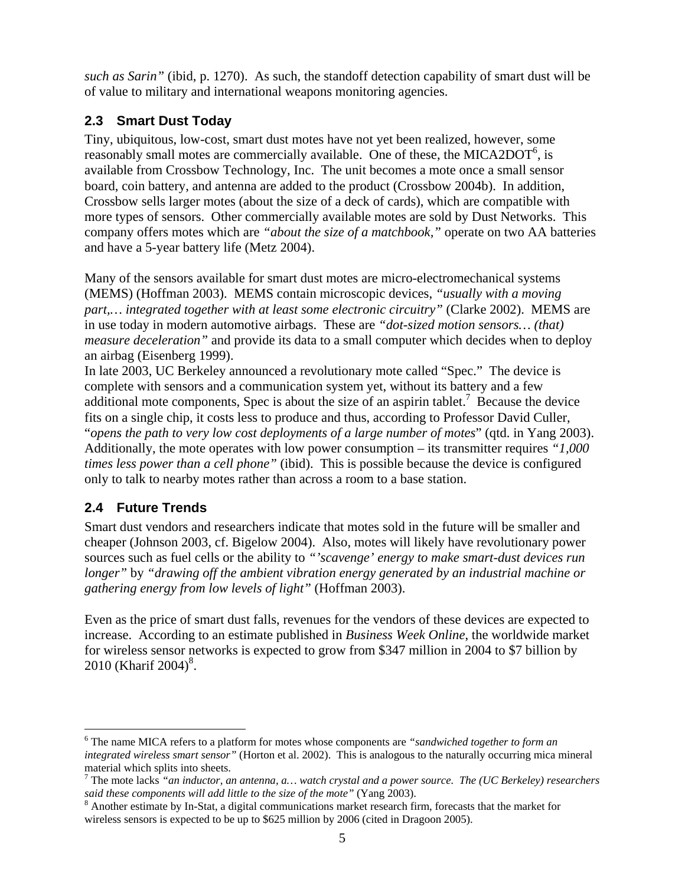*such as Sarin"* (ibid, p. 1270). As such, the standoff detection capability of smart dust will be of value to military and international weapons monitoring agencies.

#### **2.3 Smart Dust Today**

Tiny, ubiquitous, low-cost, smart dust motes have not yet been realized, however, some reasonably small motes are commercially available. One of these, the MICA2DOT $\mathfrak{h}$ , is available from Crossbow Technology, Inc. The unit becomes a mote once a small sensor board, coin battery, and antenna are added to the product (Crossbow 2004b). In addition, Crossbow sells larger motes (about the size of a deck of cards), which are compatible with more types of sensors. Other commercially available motes are sold by Dust Networks. This company offers motes which are *"about the size of a matchbook,"* operate on two AA batteries and have a 5-year battery life (Metz 2004).

Many of the sensors available for smart dust motes are micro-electromechanical systems (MEMS) (Hoffman 2003). MEMS contain microscopic devices, *"usually with a moving part,… integrated together with at least some electronic circuitry"* (Clarke 2002). MEMS are in use today in modern automotive airbags. These are *"dot-sized motion sensors… (that) measure deceleration"* and provide its data to a small computer which decides when to deploy an airbag (Eisenberg 1999).

In late 2003, UC Berkeley announced a revolutionary mote called "Spec." The device is complete with sensors and a communication system yet, without its battery and a few additional mote components, Spec is about the size of an aspirin tablet.<sup>7</sup> Because the device fits on a single chip, it costs less to produce and thus, according to Professor David Culler, "*opens the path to very low cost deployments of a large number of motes*" (qtd. in Yang 2003). Additionally, the mote operates with low power consumption – its transmitter requires *"1,000 times less power than a cell phone"* (ibid). This is possible because the device is configured only to talk to nearby motes rather than across a room to a base station.

#### **2.4 Future Trends**

 $\overline{a}$ 

Smart dust vendors and researchers indicate that motes sold in the future will be smaller and cheaper (Johnson 2003, cf. Bigelow 2004). Also, motes will likely have revolutionary power sources such as fuel cells or the ability to *"'scavenge' energy to make smart-dust devices run longer"* by *"drawing off the ambient vibration energy generated by an industrial machine or gathering energy from low levels of light"* (Hoffman 2003).

Even as the price of smart dust falls, revenues for the vendors of these devices are expected to increase. According to an estimate published in *Business Week Online*, the worldwide market for wireless sensor networks is expected to grow from \$347 million in 2004 to \$7 billion by 2010 (Kharif 2004)<sup>8</sup>.

<sup>6</sup> The name MICA refers to a platform for motes whose components are *"sandwiched together to form an integrated wireless smart sensor"* (Horton et al. 2002). This is analogous to the naturally occurring mica mineral material which splits into sheets.

<sup>7</sup> The mote lacks *"an inductor, an antenna, a… watch crystal and a power source. The (UC Berkeley) researchers said these components will add little to the size of the mote"* (Yang 2003).

<sup>&</sup>lt;sup>8</sup> Another estimate by In-Stat, a digital communications market research firm, forecasts that the market for wireless sensors is expected to be up to \$625 million by 2006 (cited in Dragoon 2005).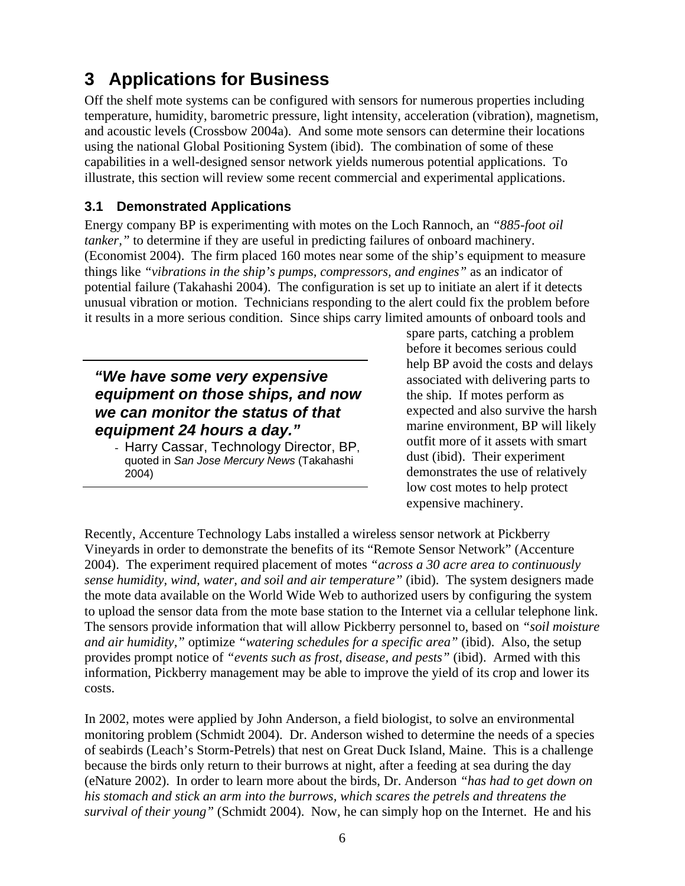# **3 Applications for Business**

Off the shelf mote systems can be configured with sensors for numerous properties including temperature, humidity, barometric pressure, light intensity, acceleration (vibration), magnetism, and acoustic levels (Crossbow 2004a). And some mote sensors can determine their locations using the national Global Positioning System (ibid). The combination of some of these capabilities in a well-designed sensor network yields numerous potential applications. To illustrate, this section will review some recent commercial and experimental applications.

#### **3.1 Demonstrated Applications**

Energy company BP is experimenting with motes on the Loch Rannoch, an *"885-foot oil tanker*," to determine if they are useful in predicting failures of onboard machinery. (Economist 2004). The firm placed 160 motes near some of the ship's equipment to measure things like *"vibrations in the ship's pumps, compressors, and engines"* as an indicator of potential failure (Takahashi 2004). The configuration is set up to initiate an alert if it detects unusual vibration or motion. Technicians responding to the alert could fix the problem before it results in a more serious condition. Since ships carry limited amounts of onboard tools and

#### *"We have some very expensive equipment on those ships, and now we can monitor the status of that equipment 24 hours a day."*

- Harry Cassar, Technology Director, BP, quoted in *San Jose Mercury News* (Takahashi 2004)

spare parts, catching a problem before it becomes serious could help BP avoid the costs and delays associated with delivering parts to the ship. If motes perform as expected and also survive the harsh marine environment, BP will likely outfit more of it assets with smart dust (ibid). Their experiment demonstrates the use of relatively low cost motes to help protect expensive machinery.

Recently, Accenture Technology Labs installed a wireless sensor network at Pickberry Vineyards in order to demonstrate the benefits of its "Remote Sensor Network" (Accenture 2004). The experiment required placement of motes *"across a 30 acre area to continuously sense humidity, wind, water, and soil and air temperature"* (ibid). The system designers made the mote data available on the World Wide Web to authorized users by configuring the system to upload the sensor data from the mote base station to the Internet via a cellular telephone link. The sensors provide information that will allow Pickberry personnel to, based on *"soil moisture and air humidity,"* optimize *"watering schedules for a specific area"* (ibid). Also, the setup provides prompt notice of *"events such as frost, disease, and pests"* (ibid). Armed with this information, Pickberry management may be able to improve the yield of its crop and lower its costs.

In 2002, motes were applied by John Anderson, a field biologist, to solve an environmental monitoring problem (Schmidt 2004). Dr. Anderson wished to determine the needs of a species of seabirds (Leach's Storm-Petrels) that nest on Great Duck Island, Maine. This is a challenge because the birds only return to their burrows at night, after a feeding at sea during the day (eNature 2002). In order to learn more about the birds, Dr. Anderson *"has had to get down on his stomach and stick an arm into the burrows, which scares the petrels and threatens the survival of their young"* (Schmidt 2004). Now, he can simply hop on the Internet. He and his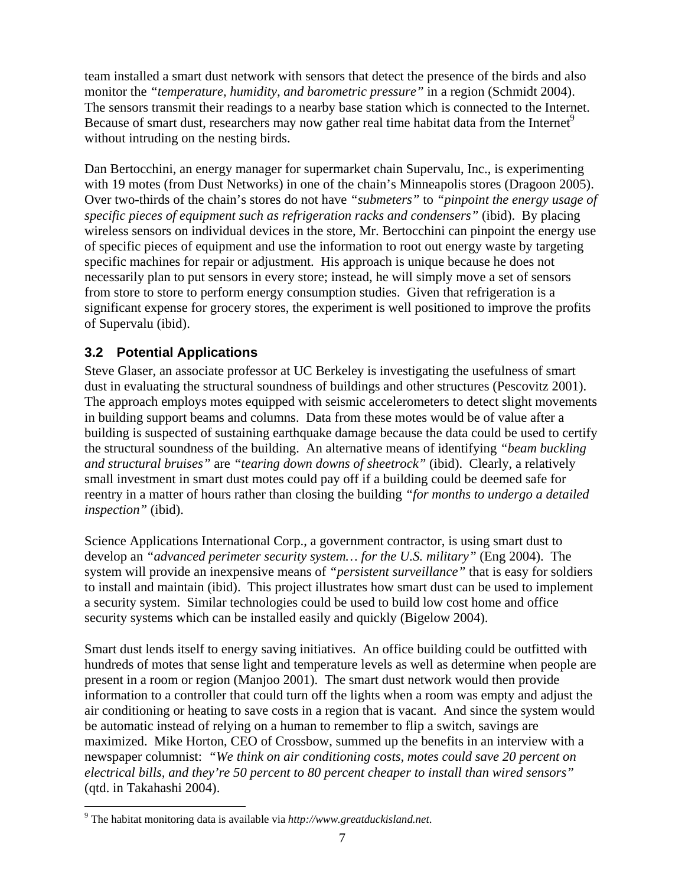team installed a smart dust network with sensors that detect the presence of the birds and also monitor the *"temperature, humidity, and barometric pressure"* in a region (Schmidt 2004). The sensors transmit their readings to a nearby base station which is connected to the Internet. Because of smart dust, researchers may now gather real time habitat data from the Internet<sup>9</sup> without intruding on the nesting birds.

Dan Bertocchini, an energy manager for supermarket chain Supervalu, Inc., is experimenting with 19 motes (from Dust Networks) in one of the chain's Minneapolis stores (Dragoon 2005). Over two-thirds of the chain's stores do not have *"submeters"* to *"pinpoint the energy usage of specific pieces of equipment such as refrigeration racks and condensers"* (ibid). By placing wireless sensors on individual devices in the store, Mr. Bertocchini can pinpoint the energy use of specific pieces of equipment and use the information to root out energy waste by targeting specific machines for repair or adjustment. His approach is unique because he does not necessarily plan to put sensors in every store; instead, he will simply move a set of sensors from store to store to perform energy consumption studies. Given that refrigeration is a significant expense for grocery stores, the experiment is well positioned to improve the profits of Supervalu (ibid).

#### **3.2 Potential Applications**

Steve Glaser, an associate professor at UC Berkeley is investigating the usefulness of smart dust in evaluating the structural soundness of buildings and other structures (Pescovitz 2001). The approach employs motes equipped with seismic accelerometers to detect slight movements in building support beams and columns. Data from these motes would be of value after a building is suspected of sustaining earthquake damage because the data could be used to certify the structural soundness of the building. An alternative means of identifying *"beam buckling and structural bruises"* are *"tearing down downs of sheetrock"* (ibid). Clearly, a relatively small investment in smart dust motes could pay off if a building could be deemed safe for reentry in a matter of hours rather than closing the building *"for months to undergo a detailed inspection"* (ibid).

Science Applications International Corp., a government contractor, is using smart dust to develop an *"advanced perimeter security system… for the U.S. military"* (Eng 2004). The system will provide an inexpensive means of *"persistent surveillance"* that is easy for soldiers to install and maintain (ibid). This project illustrates how smart dust can be used to implement a security system. Similar technologies could be used to build low cost home and office security systems which can be installed easily and quickly (Bigelow 2004).

Smart dust lends itself to energy saving initiatives. An office building could be outfitted with hundreds of motes that sense light and temperature levels as well as determine when people are present in a room or region (Manjoo 2001). The smart dust network would then provide information to a controller that could turn off the lights when a room was empty and adjust the air conditioning or heating to save costs in a region that is vacant. And since the system would be automatic instead of relying on a human to remember to flip a switch, savings are maximized. Mike Horton, CEO of Crossbow, summed up the benefits in an interview with a newspaper columnist: *"We think on air conditioning costs, motes could save 20 percent on electrical bills, and they're 50 percent to 80 percent cheaper to install than wired sensors"*  (qtd. in Takahashi 2004).

 $\overline{a}$ 

<sup>9</sup> The habitat monitoring data is available via *http://www.greatduckisland.net*.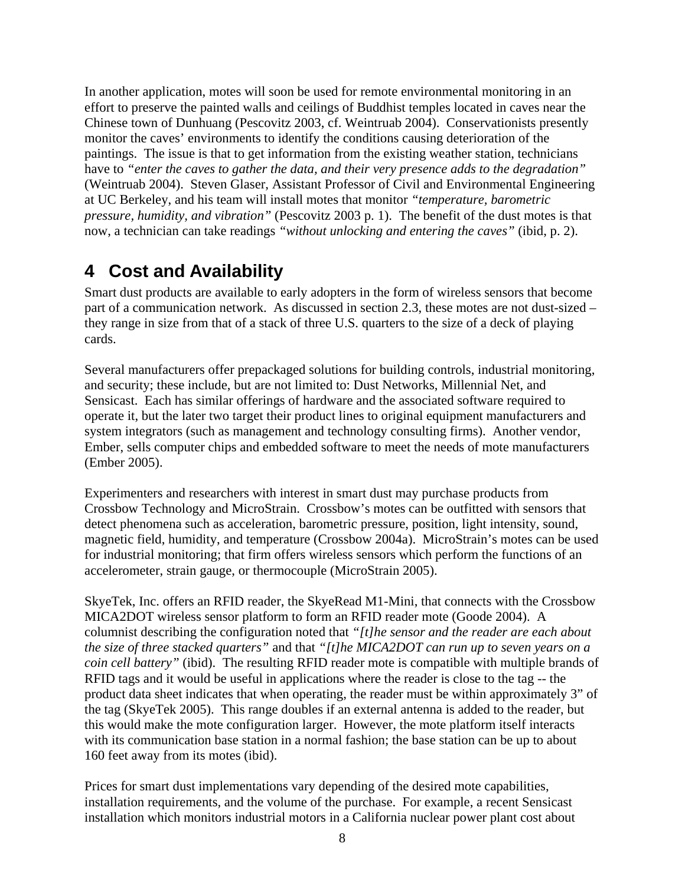In another application, motes will soon be used for remote environmental monitoring in an effort to preserve the painted walls and ceilings of Buddhist temples located in caves near the Chinese town of Dunhuang (Pescovitz 2003, cf. Weintruab 2004). Conservationists presently monitor the caves' environments to identify the conditions causing deterioration of the paintings. The issue is that to get information from the existing weather station, technicians have to *"enter the caves to gather the data, and their very presence adds to the degradation"*  (Weintruab 2004). Steven Glaser, Assistant Professor of Civil and Environmental Engineering at UC Berkeley, and his team will install motes that monitor *"temperature, barometric pressure, humidity, and vibration"* (Pescovitz 2003 p. 1). The benefit of the dust motes is that now, a technician can take readings *"without unlocking and entering the caves"* (ibid, p. 2).

### **4 Cost and Availability**

Smart dust products are available to early adopters in the form of wireless sensors that become part of a communication network. As discussed in section 2.3, these motes are not dust-sized – they range in size from that of a stack of three U.S. quarters to the size of a deck of playing cards.

Several manufacturers offer prepackaged solutions for building controls, industrial monitoring, and security; these include, but are not limited to: Dust Networks, Millennial Net, and Sensicast. Each has similar offerings of hardware and the associated software required to operate it, but the later two target their product lines to original equipment manufacturers and system integrators (such as management and technology consulting firms). Another vendor, Ember, sells computer chips and embedded software to meet the needs of mote manufacturers (Ember 2005).

Experimenters and researchers with interest in smart dust may purchase products from Crossbow Technology and MicroStrain. Crossbow's motes can be outfitted with sensors that detect phenomena such as acceleration, barometric pressure, position, light intensity, sound, magnetic field, humidity, and temperature (Crossbow 2004a). MicroStrain's motes can be used for industrial monitoring; that firm offers wireless sensors which perform the functions of an accelerometer, strain gauge, or thermocouple (MicroStrain 2005).

SkyeTek, Inc. offers an RFID reader, the SkyeRead M1-Mini, that connects with the Crossbow MICA2DOT wireless sensor platform to form an RFID reader mote (Goode 2004). A columnist describing the configuration noted that *"[t]he sensor and the reader are each about the size of three stacked quarters"* and that *"[t]he MICA2DOT can run up to seven years on a coin cell battery"* (ibid). The resulting RFID reader mote is compatible with multiple brands of RFID tags and it would be useful in applications where the reader is close to the tag -- the product data sheet indicates that when operating, the reader must be within approximately 3" of the tag (SkyeTek 2005). This range doubles if an external antenna is added to the reader, but this would make the mote configuration larger. However, the mote platform itself interacts with its communication base station in a normal fashion; the base station can be up to about 160 feet away from its motes (ibid).

Prices for smart dust implementations vary depending of the desired mote capabilities, installation requirements, and the volume of the purchase. For example, a recent Sensicast installation which monitors industrial motors in a California nuclear power plant cost about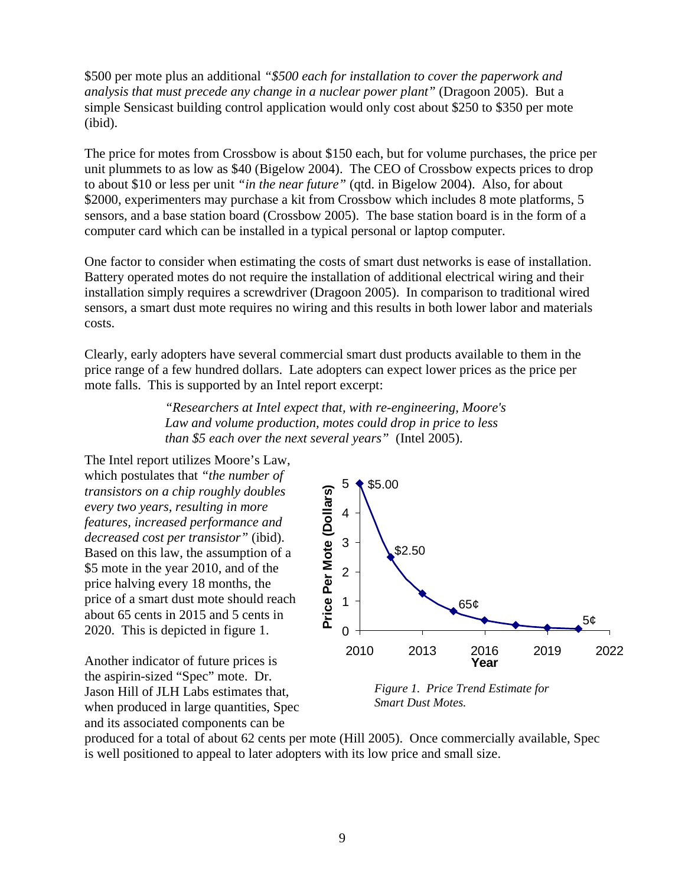\$500 per mote plus an additional *"\$500 each for installation to cover the paperwork and analysis that must precede any change in a nuclear power plant"* (Dragoon 2005). But a simple Sensicast building control application would only cost about \$250 to \$350 per mote (ibid).

The price for motes from Crossbow is about \$150 each, but for volume purchases, the price per unit plummets to as low as \$40 (Bigelow 2004). The CEO of Crossbow expects prices to drop to about \$10 or less per unit *"in the near future"* (qtd. in Bigelow 2004). Also, for about \$2000, experimenters may purchase a kit from Crossbow which includes 8 mote platforms, 5 sensors, and a base station board (Crossbow 2005). The base station board is in the form of a computer card which can be installed in a typical personal or laptop computer.

One factor to consider when estimating the costs of smart dust networks is ease of installation. Battery operated motes do not require the installation of additional electrical wiring and their installation simply requires a screwdriver (Dragoon 2005). In comparison to traditional wired sensors, a smart dust mote requires no wiring and this results in both lower labor and materials costs.

Clearly, early adopters have several commercial smart dust products available to them in the price range of a few hundred dollars. Late adopters can expect lower prices as the price per mote falls. This is supported by an Intel report excerpt:

> *"Researchers at Intel expect that, with re-engineering, Moore's Law and volume production, motes could drop in price to less than \$5 each over the next several years"* (Intel 2005).

The Intel report utilizes Moore's Law, which postulates that *"the number of transistors on a chip roughly doubles every two years, resulting in more features, increased performance and decreased cost per transistor"* (ibid). Based on this law, the assumption of a \$5 mote in the year 2010, and of the price halving every 18 months, the price of a smart dust mote should reach about 65 cents in 2015 and 5 cents in 2020. This is depicted in figure 1.

Another indicator of future prices is the aspirin-sized "Spec" mote. Dr. Jason Hill of JLH Labs estimates that, when produced in large quantities, Spec and its associated components can be



*Figure 1. Price Trend Estimate for Smart Dust Motes.* 

produced for a total of about 62 cents per mote (Hill 2005). Once commercially available, Spec is well positioned to appeal to later adopters with its low price and small size.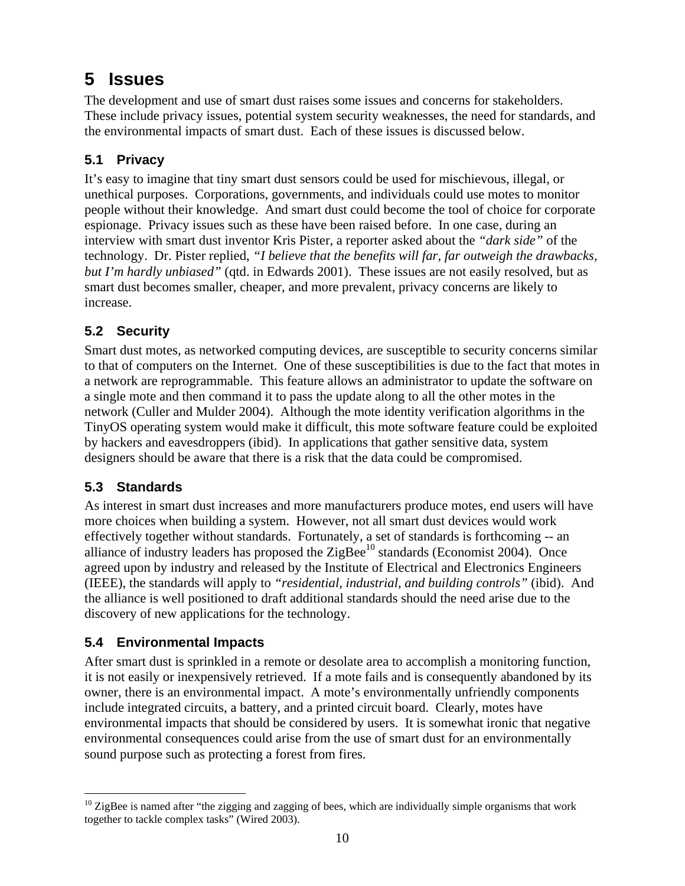### **5 Issues**

The development and use of smart dust raises some issues and concerns for stakeholders. These include privacy issues, potential system security weaknesses, the need for standards, and the environmental impacts of smart dust. Each of these issues is discussed below.

#### **5.1 Privacy**

It's easy to imagine that tiny smart dust sensors could be used for mischievous, illegal, or unethical purposes. Corporations, governments, and individuals could use motes to monitor people without their knowledge. And smart dust could become the tool of choice for corporate espionage. Privacy issues such as these have been raised before. In one case, during an interview with smart dust inventor Kris Pister, a reporter asked about the *"dark side"* of the technology. Dr. Pister replied, *"I believe that the benefits will far, far outweigh the drawbacks, but I'm hardly unbiased"* (qtd. in Edwards 2001). These issues are not easily resolved, but as smart dust becomes smaller, cheaper, and more prevalent, privacy concerns are likely to increase.

#### **5.2 Security**

Smart dust motes, as networked computing devices, are susceptible to security concerns similar to that of computers on the Internet. One of these susceptibilities is due to the fact that motes in a network are reprogrammable. This feature allows an administrator to update the software on a single mote and then command it to pass the update along to all the other motes in the network (Culler and Mulder 2004). Although the mote identity verification algorithms in the TinyOS operating system would make it difficult, this mote software feature could be exploited by hackers and eavesdroppers (ibid). In applications that gather sensitive data, system designers should be aware that there is a risk that the data could be compromised.

#### **5.3 Standards**

 $\overline{a}$ 

As interest in smart dust increases and more manufacturers produce motes, end users will have more choices when building a system. However, not all smart dust devices would work effectively together without standards. Fortunately, a set of standards is forthcoming -- an alliance of industry leaders has proposed the  $\mathbb{Z}$ igBee<sup>10</sup> standards (Economist 2004). Once agreed upon by industry and released by the Institute of Electrical and Electronics Engineers (IEEE), the standards will apply to *"residential, industrial, and building controls"* (ibid). And the alliance is well positioned to draft additional standards should the need arise due to the discovery of new applications for the technology.

#### **5.4 Environmental Impacts**

After smart dust is sprinkled in a remote or desolate area to accomplish a monitoring function, it is not easily or inexpensively retrieved. If a mote fails and is consequently abandoned by its owner, there is an environmental impact. A mote's environmentally unfriendly components include integrated circuits, a battery, and a printed circuit board. Clearly, motes have environmental impacts that should be considered by users. It is somewhat ironic that negative environmental consequences could arise from the use of smart dust for an environmentally sound purpose such as protecting a forest from fires.

 $10$  ZigBee is named after "the zigging and zagging of bees, which are individually simple organisms that work together to tackle complex tasks" (Wired 2003).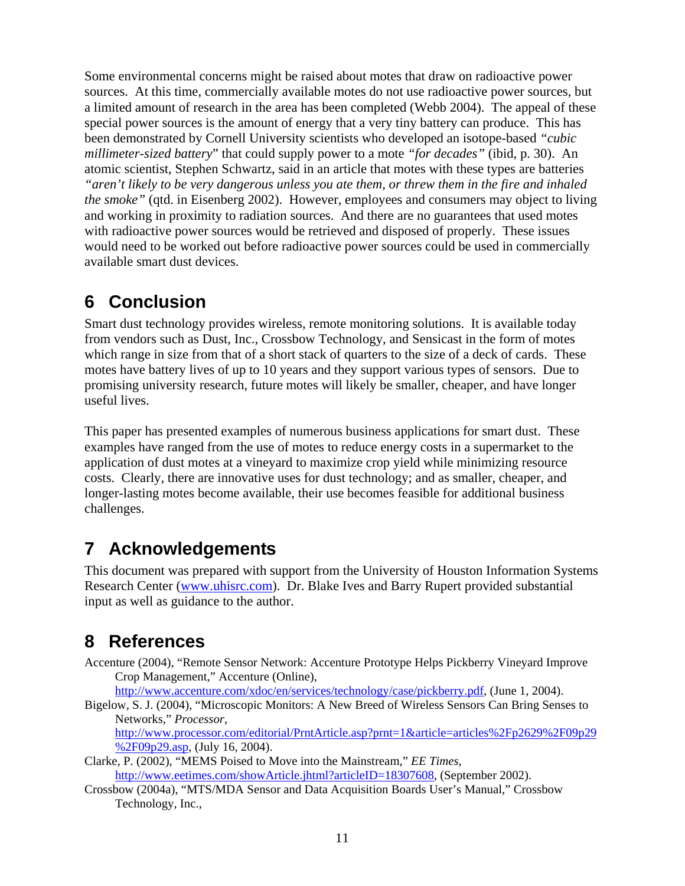Some environmental concerns might be raised about motes that draw on radioactive power sources. At this time, commercially available motes do not use radioactive power sources, but a limited amount of research in the area has been completed (Webb 2004). The appeal of these special power sources is the amount of energy that a very tiny battery can produce. This has been demonstrated by Cornell University scientists who developed an isotope-based *"cubic millimeter-sized battery*" that could supply power to a mote *"for decades"* (ibid, p. 30). An atomic scientist, Stephen Schwartz, said in an article that motes with these types are batteries *"aren't likely to be very dangerous unless you ate them, or threw them in the fire and inhaled the smoke"* (qtd. in Eisenberg 2002). However, employees and consumers may object to living and working in proximity to radiation sources. And there are no guarantees that used motes with radioactive power sources would be retrieved and disposed of properly. These issues would need to be worked out before radioactive power sources could be used in commercially available smart dust devices.

### **6 Conclusion**

Smart dust technology provides wireless, remote monitoring solutions. It is available today from vendors such as Dust, Inc., Crossbow Technology, and Sensicast in the form of motes which range in size from that of a short stack of quarters to the size of a deck of cards. These motes have battery lives of up to 10 years and they support various types of sensors. Due to promising university research, future motes will likely be smaller, cheaper, and have longer useful lives.

This paper has presented examples of numerous business applications for smart dust. These examples have ranged from the use of motes to reduce energy costs in a supermarket to the application of dust motes at a vineyard to maximize crop yield while minimizing resource costs. Clearly, there are innovative uses for dust technology; and as smaller, cheaper, and longer-lasting motes become available, their use becomes feasible for additional business challenges.

### **7 Acknowledgements**

This document was prepared with support from the University of Houston Information Systems Research Center (www.uhisrc.com). Dr. Blake Ives and Barry Rupert provided substantial input as well as guidance to the author.

# **8 References**

Accenture (2004), "Remote Sensor Network: Accenture Prototype Helps Pickberry Vineyard Improve Crop Management," Accenture (Online),

http://www.accenture.com/xdoc/en/services/technology/case/pickberry.pdf, (June 1, 2004).

Bigelow, S. J. (2004), "Microscopic Monitors: A New Breed of Wireless Sensors Can Bring Senses to Networks," *Processor*,

http://www.processor.com/editorial/PrntArticle.asp?prnt=1&article=articles%2Fp2629%2F09p29 %2F09p29.asp, (July 16, 2004).

- Clarke, P. (2002), "MEMS Poised to Move into the Mainstream," *EE Times*, http://www.eetimes.com/showArticle.jhtml?articleID=18307608, (September 2002).
- Crossbow (2004a), "MTS/MDA Sensor and Data Acquisition Boards User's Manual," Crossbow Technology, Inc.,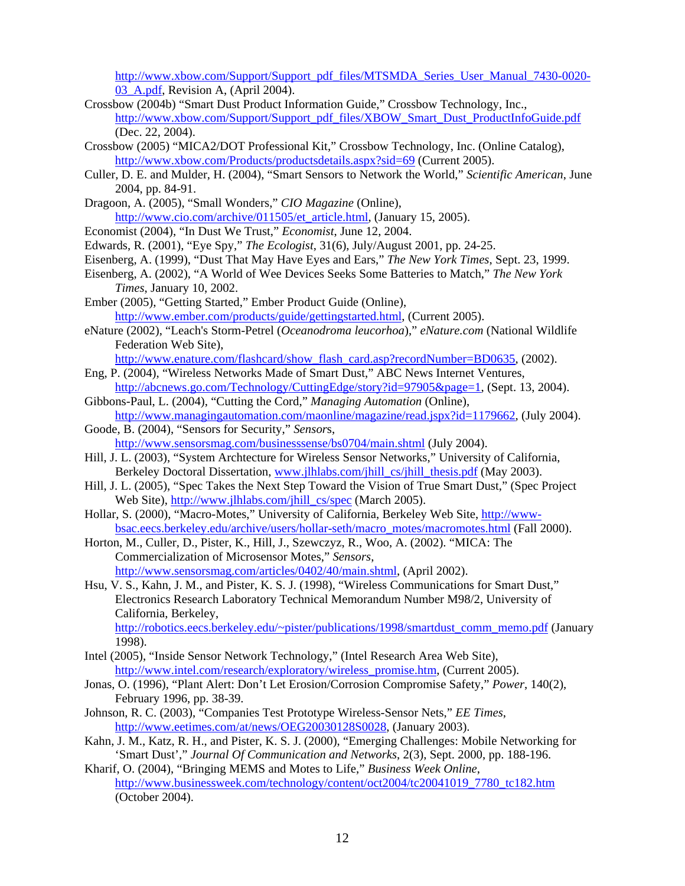http://www.xbow.com/Support/Support\_pdf\_files/MTSMDA\_Series\_User\_Manual\_7430-0020- 03\_A.pdf, Revision A, (April 2004).

- Crossbow (2004b) "Smart Dust Product Information Guide," Crossbow Technology, Inc., http://www.xbow.com/Support/Support\_pdf\_files/XBOW\_Smart\_Dust\_ProductInfoGuide.pdf (Dec. 22, 2004).
- Crossbow (2005) "MICA2/DOT Professional Kit," Crossbow Technology, Inc. (Online Catalog), http://www.xbow.com/Products/productsdetails.aspx?sid=69 (Current 2005).
- Culler, D. E. and Mulder, H. (2004), "Smart Sensors to Network the World," *Scientific American*, June 2004, pp. 84-91.
- Dragoon, A. (2005), "Small Wonders," *CIO Magazine* (Online), http://www.cio.com/archive/011505/et\_article.html, (January 15, 2005).
- Economist (2004), "In Dust We Trust," *Economist*, June 12, 2004.
- Edwards, R. (2001), "Eye Spy," *The Ecologist*, 31(6), July/August 2001, pp. 24-25.
- Eisenberg, A. (1999), "Dust That May Have Eyes and Ears," *The New York Times*, Sept. 23, 1999.
- Eisenberg, A. (2002), "A World of Wee Devices Seeks Some Batteries to Match," *The New York Times*, January 10, 2002.
- Ember (2005), "Getting Started," Ember Product Guide (Online), http://www.ember.com/products/guide/gettingstarted.html, (Current 2005).
- eNature (2002), "Leach's Storm-Petrel (*Oceanodroma leucorhoa*)," *eNature.com* (National Wildlife Federation Web Site),

http://www.enature.com/flashcard/show\_flash\_card.asp?recordNumber=BD0635, (2002).

- Eng, P. (2004), "Wireless Networks Made of Smart Dust," ABC News Internet Ventures, http://abcnews.go.com/Technology/CuttingEdge/story?id=97905&page=1, (Sept. 13, 2004).
- Gibbons-Paul, L. (2004), "Cutting the Cord," *Managing Automation* (Online), http://www.managingautomation.com/maonline/magazine/read.jspx?id=1179662, (July 2004).
- Goode, B. (2004), "Sensors for Security," *Sensor*s, http://www.sensorsmag.com/businesssense/bs0704/main.shtml (July 2004).
- Hill, J. L. (2003), "System Archtecture for Wireless Sensor Networks," University of California, Berkeley Doctoral Dissertation, www.jlhlabs.com/jhill\_cs/jhill\_thesis.pdf (May 2003).
- Hill, J. L. (2005), "Spec Takes the Next Step Toward the Vision of True Smart Dust," (Spec Project Web Site), http://www.jlhlabs.com/jhill\_cs/spec (March 2005).
- Hollar, S. (2000), "Macro-Motes," University of California, Berkeley Web Site, http://wwwbsac.eecs.berkeley.edu/archive/users/hollar-seth/macro\_motes/macromotes.html (Fall 2000).
- Horton, M., Culler, D., Pister, K., Hill, J., Szewczyz, R., Woo, A. (2002). "MICA: The Commercialization of Microsensor Motes," *Sensors*, http://www.sensorsmag.com/articles/0402/40/main.shtml, (April 2002).
- Hsu, V. S., Kahn, J. M., and Pister, K. S. J. (1998), "Wireless Communications for Smart Dust," Electronics Research Laboratory Technical Memorandum Number M98/2, University of California, Berkeley, http://robotics.eecs.berkeley.edu/~pister/publications/1998/smartdust\_comm\_memo.pdf (January

1998).

- Intel (2005), "Inside Sensor Network Technology," (Intel Research Area Web Site), http://www.intel.com/research/exploratory/wireless\_promise.htm, (Current 2005).
- Jonas, O. (1996), "Plant Alert: Don't Let Erosion/Corrosion Compromise Safety," *Power*, 140(2), February 1996, pp. 38-39.
- Johnson, R. C. (2003), "Companies Test Prototype Wireless-Sensor Nets," *EE Times*, http://www.eetimes.com/at/news/OEG20030128S0028, (January 2003).
- Kahn, J. M., Katz, R. H., and Pister, K. S. J. (2000), "Emerging Challenges: Mobile Networking for 'Smart Dust'," *Journal Of Communication and Networks*, 2(3), Sept. 2000, pp. 188-196.
- Kharif, O. (2004), "Bringing MEMS and Motes to Life," *Business Week Online*, http://www.businessweek.com/technology/content/oct2004/tc20041019\_7780\_tc182.htm (October 2004).